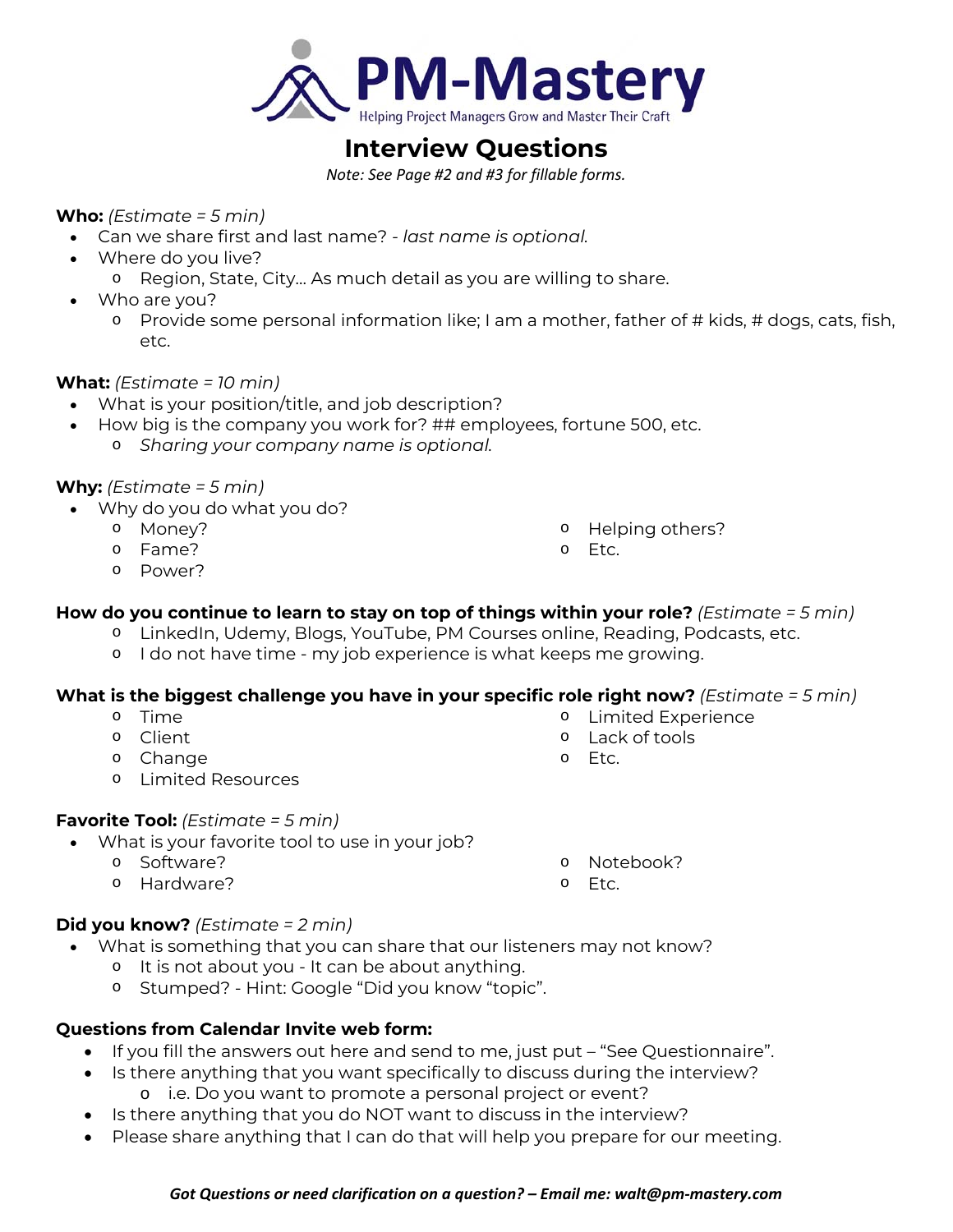

# **Interview Questions**

*Note: See Page #2 and #3 for fillable forms.* 

## **Who:** *(Estimate = 5 min)*

- Can we share first and last name?  *last name is optional.*
- Where do you live?
	- o Region, State, City… As much detail as you are willing to share.
- Who are you?
	- o Provide some personal information like; I am a mother, father of # kids, # dogs, cats, fish, etc.

## **What:** *(Estimate = 10 min)*

- What is your position/title, and job description?
- How big is the company you work for? ## employees, fortune 500, etc.
	- o *Sharing your company name is optional.*

## **Why:** *(Estimate = 5 min)*

- Why do you do what you do?
	- o Money?
	- o Fame?
	- o Power?

o Helping others?

o Limited Experience

o Lack of tools

- o Etc.
- **How do you continue to learn to stay on top of things within your role?** *(Estimate = 5 min)*
	- o LinkedIn, Udemy, Blogs, YouTube, PM Courses online, Reading, Podcasts, etc.
	- o I do not have time my job experience is what keeps me growing.

## **What is the biggest challenge you have in your specific role right now?** *(Estimate = 5 min)*

- o Time
- o Client
- o Change
- o Limited Resources

## **Favorite Tool:** *(Estimate = 5 min)*

- What is your favorite tool to use in your job?
	- o Software?
		- o Hardware?
- o Notebook?
- o Etc.

o Etc.

## **Did you know?** *(Estimate = 2 min)*

- What is something that you can share that our listeners may not know?
	- o It is not about you It can be about anything.
	- o Stumped? Hint: Google "Did you know "topic".

## **Questions from Calendar Invite web form:**

- If you fill the answers out here and send to me, just put "See Questionnaire".
- Is there anything that you want specifically to discuss during the interview? o i.e. Do you want to promote a personal project or event?
- Is there anything that you do NOT want to discuss in the interview?
- Please share anything that I can do that will help you prepare for our meeting.

#### *Got Questions or need clarification on a question? – Email me: walt@pm‐mastery.com*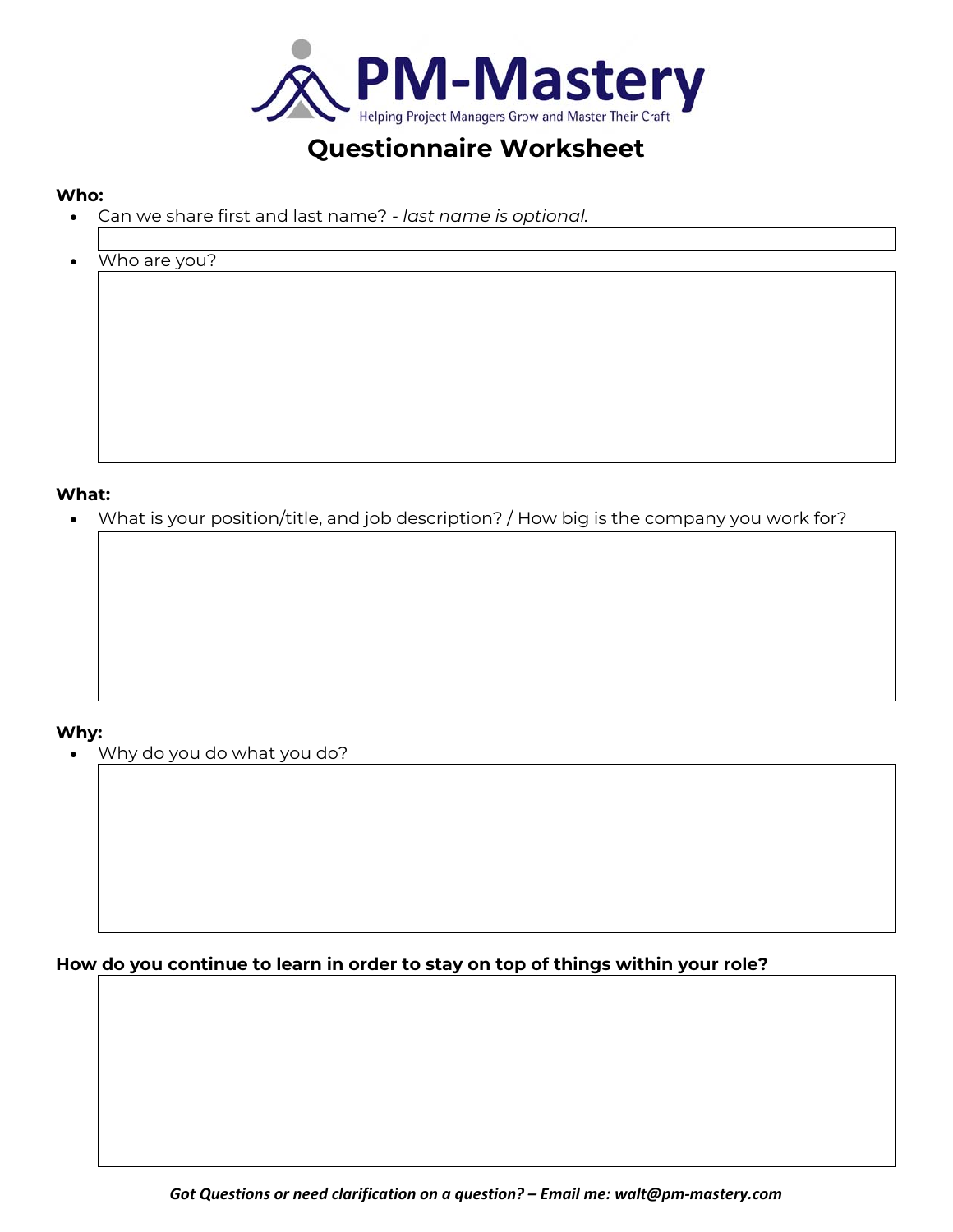

# **Questionnaire Worksheet**

#### **Who:**

- Can we share first and last name?  *last name is optional.*
- Who are you?

**What:** 

What is your position/title, and job description? / How big is the company you work for?

## **Why:**

Why do you do what you do?

**How do you continue to learn in order to stay on top of things within your role?**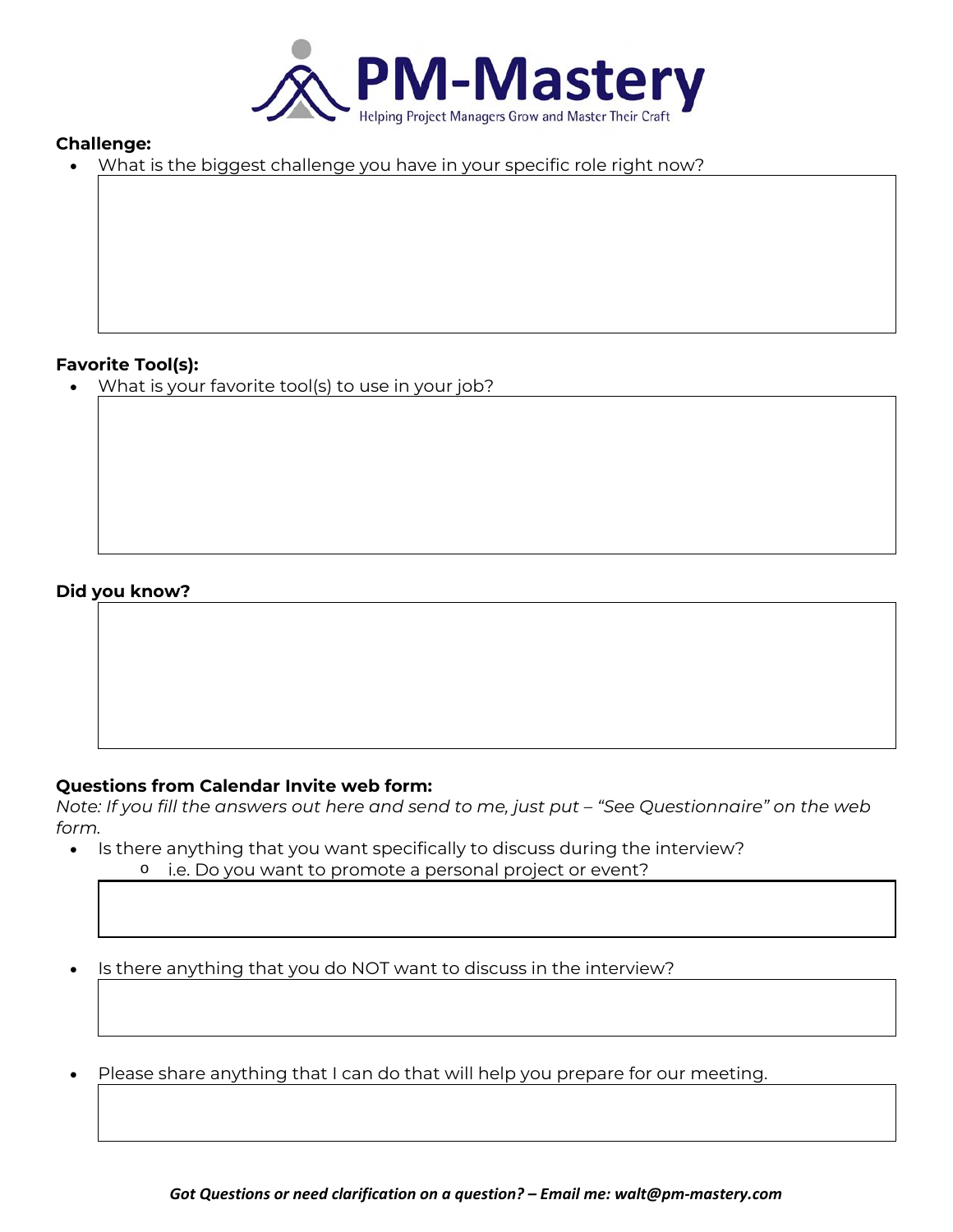

## **Challenge:**

What is the biggest challenge you have in your specific role right now?

#### **Favorite Tool(s):**

What is your favorite tool(s) to use in your job?

## **Did you know?**

#### **Questions from Calendar Invite web form:**

*Note: If you fill the answers out here and send to me, just put – "See Questionnaire" on the web form.* 

• Is there anything that you want specifically to discuss during the interview? o i.e. Do you want to promote a personal project or event?

• Is there anything that you do NOT want to discuss in the interview?

Please share anything that I can do that will help you prepare for our meeting.